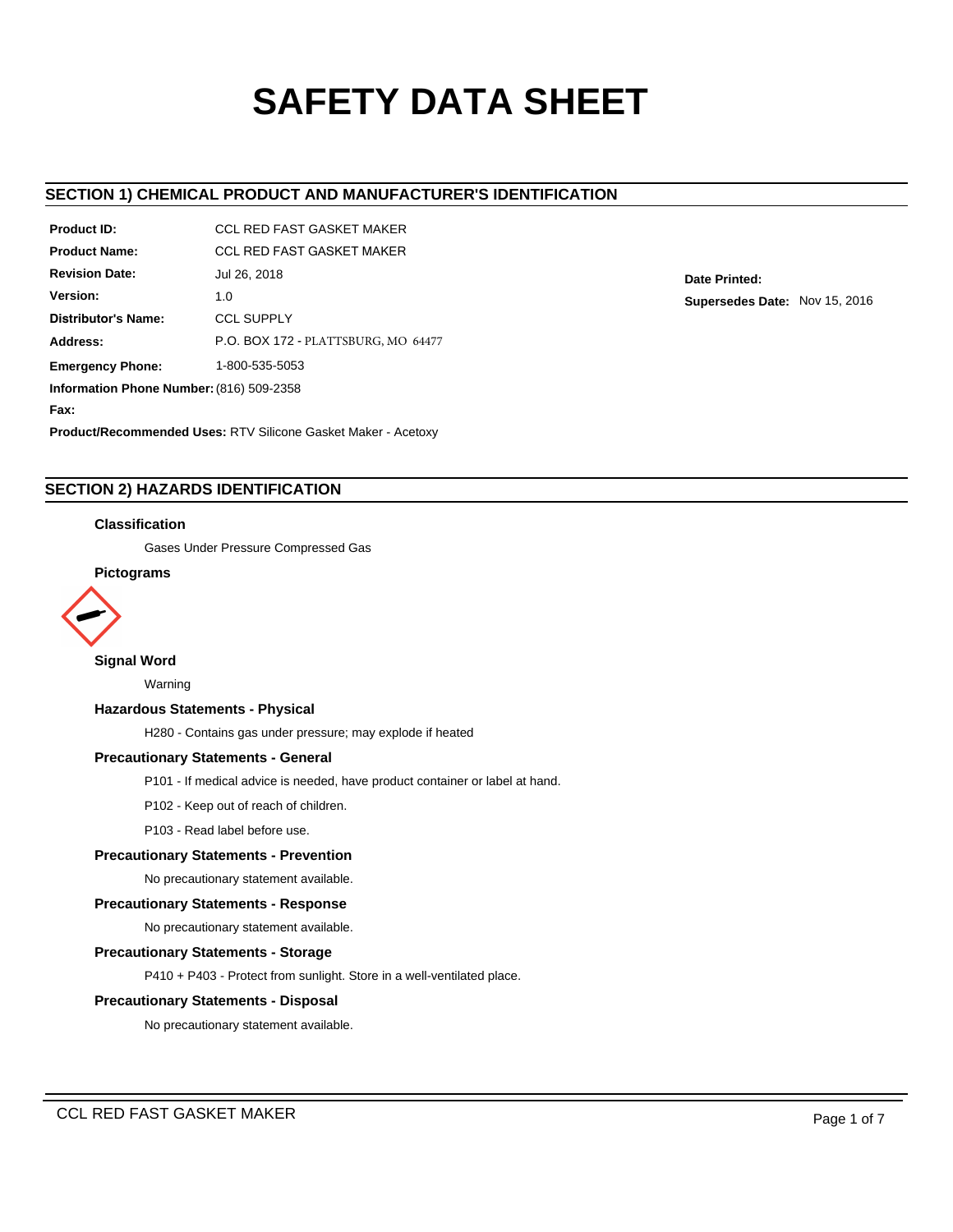# **SAFETY DATA SHEET**

# **SECTION 1) CHEMICAL PRODUCT AND MANUFACTURER'S IDENTIFICATION**

| <b>Product ID:</b>                       | <b>CCL RED FAST GASKET MAKER</b>    |  |  |  |
|------------------------------------------|-------------------------------------|--|--|--|
| <b>Product Name:</b>                     | <b>CCL RED FAST GASKET MAKER</b>    |  |  |  |
| <b>Revision Date:</b>                    | Jul 26, 2018                        |  |  |  |
| Version:                                 | 1.0                                 |  |  |  |
| Distributor's Name:                      | <b>CCL SUPPLY</b>                   |  |  |  |
| Address:                                 | P.O. BOX 172 - PLATTSBURG, MO 64477 |  |  |  |
| <b>Emergency Phone:</b>                  | 1-800-535-5053                      |  |  |  |
| Information Phone Number: (816) 509-2358 |                                     |  |  |  |
| Fax:                                     |                                     |  |  |  |

**Product/Recommended Uses:** RTV Silicone Gasket Maker - Acetoxy

# **SECTION 2) HAZARDS IDENTIFICATION**

## **Classification**

Gases Under Pressure Compressed Gas

# **Pictograms**



# **Signal Word**

Warning

## **Hazardous Statements - Physical**

H280 - Contains gas under pressure; may explode if heated

# **Precautionary Statements - General**

P101 - If medical advice is needed, have product container or label at hand.

P102 - Keep out of reach of children.

P103 - Read label before use.

## **Precautionary Statements - Prevention**

No precautionary statement available.

## **Precautionary Statements - Response**

No precautionary statement available.

#### **Precautionary Statements - Storage**

P410 + P403 - Protect from sunlight. Store in a well-ventilated place.

## **Precautionary Statements - Disposal**

No precautionary statement available.

**Date Printed: Supersedes Date:** Nov 15, 2016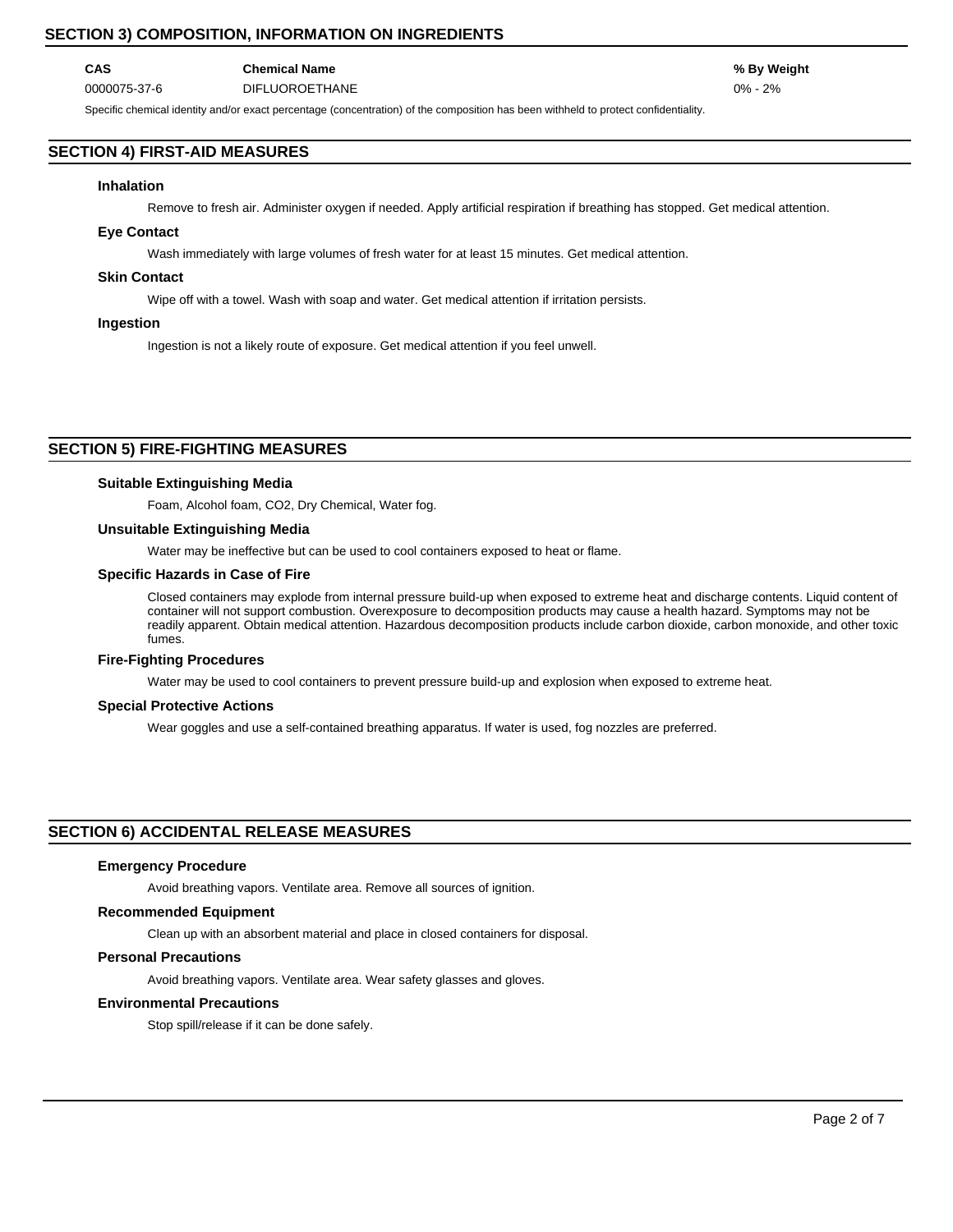# **SECTION 3) COMPOSITION, INFORMATION ON INGREDIENTS**

## **CAS Chemical Name % By Weight** 0000075-37-6 DIFLUOROETHANE 0% - 2%

Specific chemical identity and/or exact percentage (concentration) of the composition has been withheld to protect confidentiality.

# **SECTION 4) FIRST-AID MEASURES**

#### **Inhalation**

Remove to fresh air. Administer oxygen if needed. Apply artificial respiration if breathing has stopped. Get medical attention.

## **Eye Contact**

Wash immediately with large volumes of fresh water for at least 15 minutes. Get medical attention.

## **Skin Contact**

Wipe off with a towel. Wash with soap and water. Get medical attention if irritation persists.

### **Ingestion**

Ingestion is not a likely route of exposure. Get medical attention if you feel unwell.

## **SECTION 5) FIRE-FIGHTING MEASURES**

#### **Suitable Extinguishing Media**

Foam, Alcohol foam, CO2, Dry Chemical, Water fog.

## **Unsuitable Extinguishing Media**

Water may be ineffective but can be used to cool containers exposed to heat or flame.

### **Specific Hazards in Case of Fire**

Closed containers may explode from internal pressure build-up when exposed to extreme heat and discharge contents. Liquid content of container will not support combustion. Overexposure to decomposition products may cause a health hazard. Symptoms may not be readily apparent. Obtain medical attention. Hazardous decomposition products include carbon dioxide, carbon monoxide, and other toxic fumes.

#### **Fire-Fighting Procedures**

Water may be used to cool containers to prevent pressure build-up and explosion when exposed to extreme heat.

## **Special Protective Actions**

Wear goggles and use a self-contained breathing apparatus. If water is used, fog nozzles are preferred.

## **SECTION 6) ACCIDENTAL RELEASE MEASURES**

#### **Emergency Procedure**

Avoid breathing vapors. Ventilate area. Remove all sources of ignition.

### **Recommended Equipment**

Clean up with an absorbent material and place in closed containers for disposal.

## **Personal Precautions**

Avoid breathing vapors. Ventilate area. Wear safety glasses and gloves.

#### **Environmental Precautions**

Stop spill/release if it can be done safely.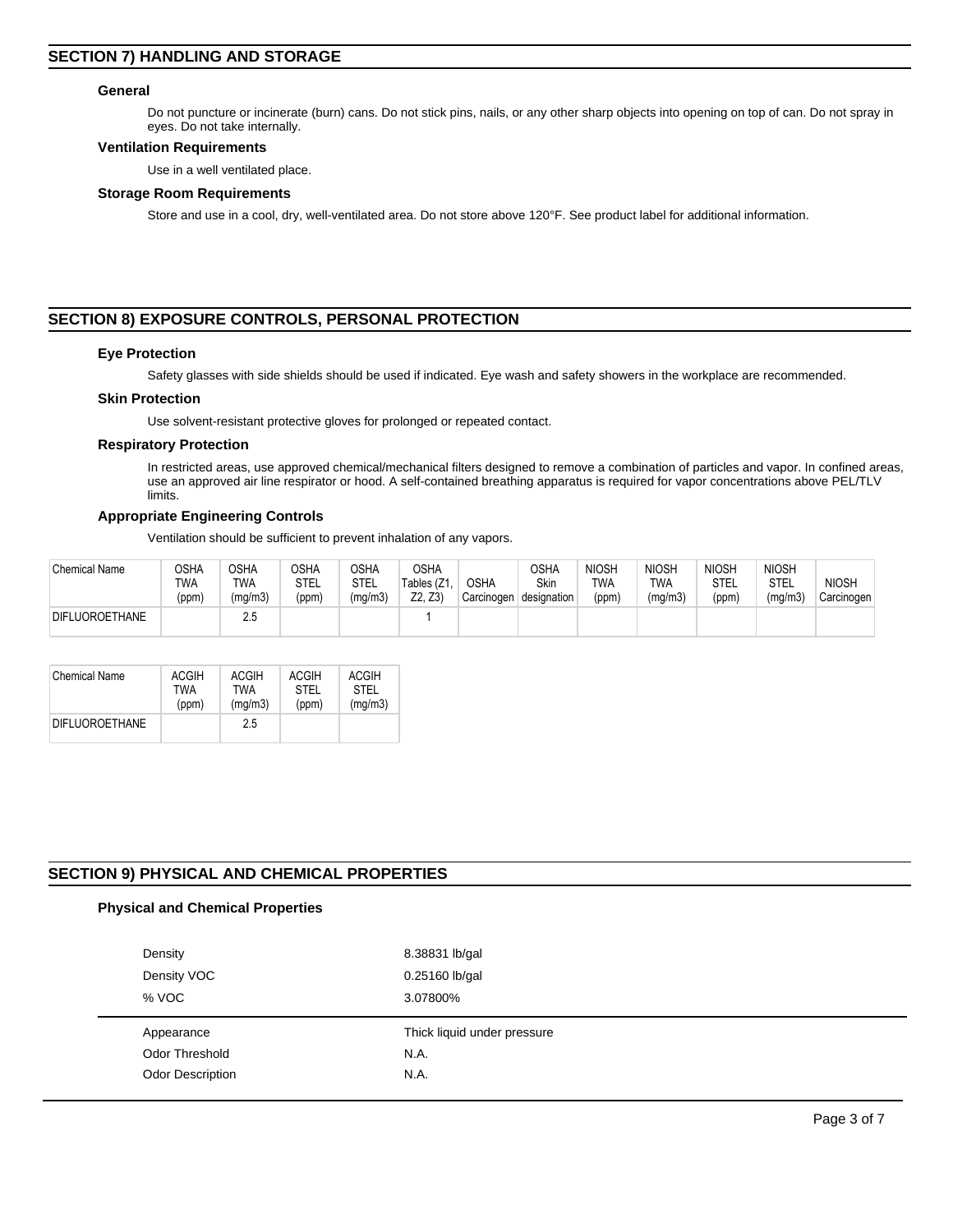## **General**

Do not puncture or incinerate (burn) cans. Do not stick pins, nails, or any other sharp objects into opening on top of can. Do not spray in eyes. Do not take internally.

#### **Ventilation Requirements**

Use in a well ventilated place.

#### **Storage Room Requirements**

Store and use in a cool, dry, well-ventilated area. Do not store above 120°F. See product label for additional information.

# **SECTION 8) EXPOSURE CONTROLS, PERSONAL PROTECTION**

#### **Eye Protection**

Safety glasses with side shields should be used if indicated. Eye wash and safety showers in the workplace are recommended.

#### **Skin Protection**

Use solvent-resistant protective gloves for prolonged or repeated contact.

#### **Respiratory Protection**

In restricted areas, use approved chemical/mechanical filters designed to remove a combination of particles and vapor. In confined areas, use an approved air line respirator or hood. A self-contained breathing apparatus is required for vapor concentrations above PEL/TLV limits.

#### **Appropriate Engineering Controls**

Ventilation should be sufficient to prevent inhalation of any vapors.

| <b>Chemical Name</b>  | OSHA<br>TWA<br>(ppm) | OSHA<br>TWA<br>(mg/m3) | <b>OSHA</b><br>STEL<br>(ppm) | OSHA<br>STEL<br>(mg/m3) | <b>OSHA</b><br>Tables (Z1<br>Z2. Z3 | <b>OSHA</b><br>Carcinogen | OSHA<br>Skin<br>designation | <b>NIOSH</b><br>TWA<br>(ppm) | <b>NIOSH</b><br>TWA<br>(mg/m3) | <b>NIOSH</b><br>STEL<br>(ppm) | <b>NIOSH</b><br><b>STEL</b><br>(mg/m3) | <b>NIOSH</b><br>Carcinogen |
|-----------------------|----------------------|------------------------|------------------------------|-------------------------|-------------------------------------|---------------------------|-----------------------------|------------------------------|--------------------------------|-------------------------------|----------------------------------------|----------------------------|
| <b>DIFLUOROETHANE</b> |                      | 2.5                    |                              |                         |                                     |                           |                             |                              |                                |                               |                                        |                            |

| <b>Chemical Name</b>  | <b>ACGIH</b> | <b>ACGIH</b> | ACGIH       | <b>ACGIH</b> |
|-----------------------|--------------|--------------|-------------|--------------|
|                       | TWA          | TWA          | <b>STEL</b> | <b>STEL</b>  |
|                       | (ppm)        | (mq/m3)      | (ppm)       | (mq/m3)      |
| <b>DIFLUOROETHANE</b> |              | 25           |             |              |

## **SECTION 9) PHYSICAL AND CHEMICAL PROPERTIES**

## **Physical and Chemical Properties**

| Density               | 8.38831 lb/gal              |
|-----------------------|-----------------------------|
| Density VOC           | 0.25160 lb/gal              |
| % VOC                 | 3.07800%                    |
|                       |                             |
| Appearance            | Thick liquid under pressure |
| <b>Odor Threshold</b> | N.A.                        |
| Odor Description      | N.A.                        |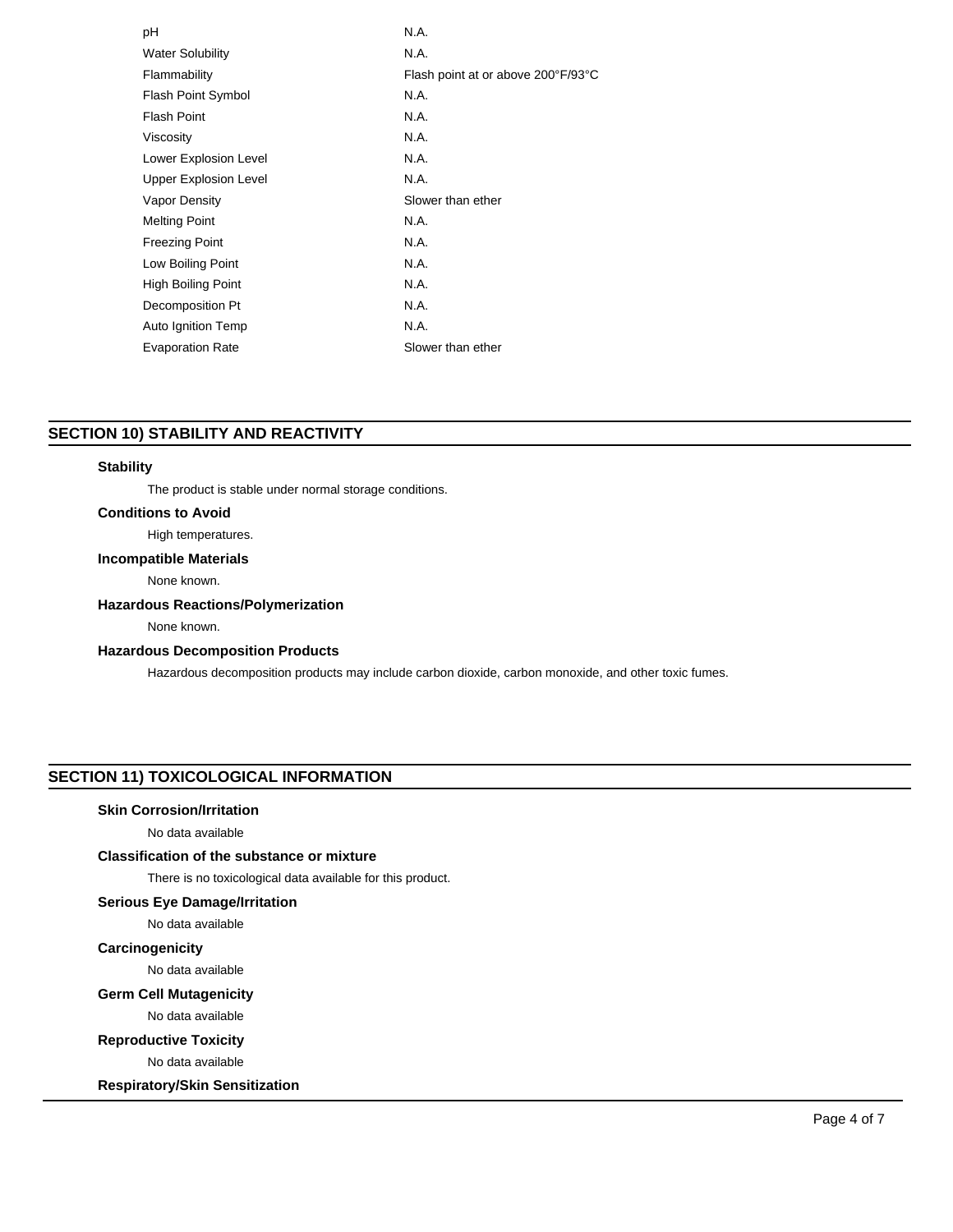| рH                           | N.A.                               |
|------------------------------|------------------------------------|
| <b>Water Solubility</b>      | N.A.                               |
| Flammability                 | Flash point at or above 200°F/93°C |
| Flash Point Symbol           | N.A.                               |
| <b>Flash Point</b>           | N.A.                               |
| Viscosity                    | N.A.                               |
| Lower Explosion Level        | N.A.                               |
| <b>Upper Explosion Level</b> | N.A.                               |
| <b>Vapor Density</b>         | Slower than ether                  |
| <b>Melting Point</b>         | N.A.                               |
| <b>Freezing Point</b>        | N.A.                               |
| Low Boiling Point            | N.A.                               |
| High Boiling Point           | N.A.                               |
| Decomposition Pt             | N.A.                               |
| Auto Ignition Temp           | N.A.                               |
| <b>Evaporation Rate</b>      | Slower than ether                  |
|                              |                                    |

# **SECTION 10) STABILITY AND REACTIVITY**

## **Stability**

The product is stable under normal storage conditions.

## **Conditions to Avoid**

# High temperatures.

## **Incompatible Materials**

None known.

## **Hazardous Reactions/Polymerization**

None known.

## **Hazardous Decomposition Products**

Hazardous decomposition products may include carbon dioxide, carbon monoxide, and other toxic fumes.

# **SECTION 11) TOXICOLOGICAL INFORMATION**

## **Skin Corrosion/Irritation**

No data available

# **Classification of the substance or mixture**

There is no toxicological data available for this product.

## **Serious Eye Damage/Irritation**

No data available

# **Carcinogenicity**

No data available

## **Germ Cell Mutagenicity**

No data available

## **Reproductive Toxicity**

No data available

**Respiratory/Skin Sensitization**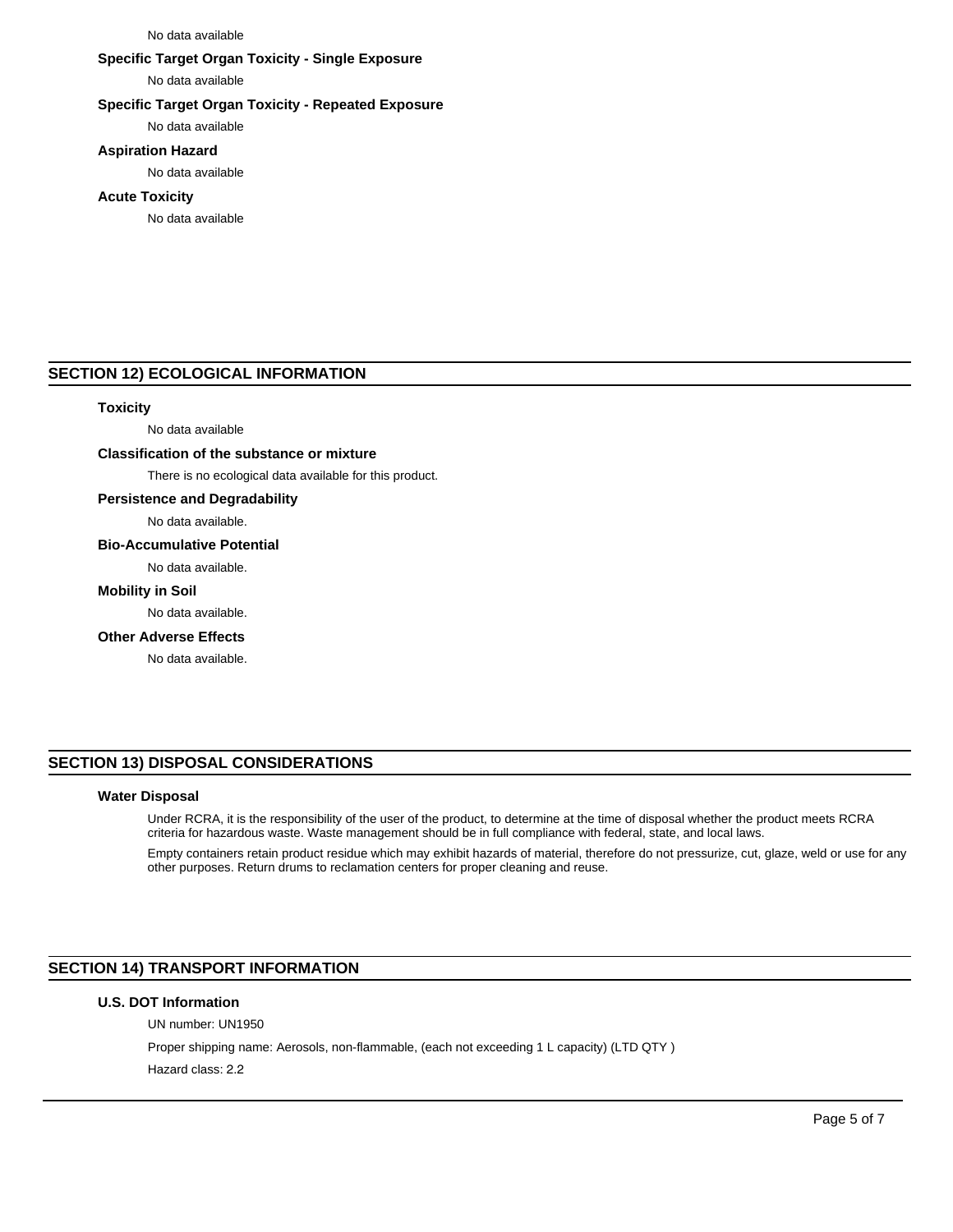#### No data available

## **Specific Target Organ Toxicity - Single Exposure**

No data available

## **Specific Target Organ Toxicity - Repeated Exposure**

No data available

## **Aspiration Hazard**

No data available

#### **Acute Toxicity**

No data available

## **SECTION 12) ECOLOGICAL INFORMATION**

#### **Toxicity**

No data available

## **Classification of the substance or mixture**

There is no ecological data available for this product.

## **Persistence and Degradability**

No data available.

#### **Bio-Accumulative Potential**

No data available.

## **Mobility in Soil**

No data available.

#### **Other Adverse Effects**

No data available.

# **SECTION 13) DISPOSAL CONSIDERATIONS**

## **Water Disposal**

Under RCRA, it is the responsibility of the user of the product, to determine at the time of disposal whether the product meets RCRA criteria for hazardous waste. Waste management should be in full compliance with federal, state, and local laws.

Empty containers retain product residue which may exhibit hazards of material, therefore do not pressurize, cut, glaze, weld or use for any other purposes. Return drums to reclamation centers for proper cleaning and reuse.

# **SECTION 14) TRANSPORT INFORMATION**

## **U.S. DOT Information**

UN number: UN1950 Proper shipping name: Aerosols, non-flammable, (each not exceeding 1 L capacity) (LTD QTY ) Hazard class: 2.2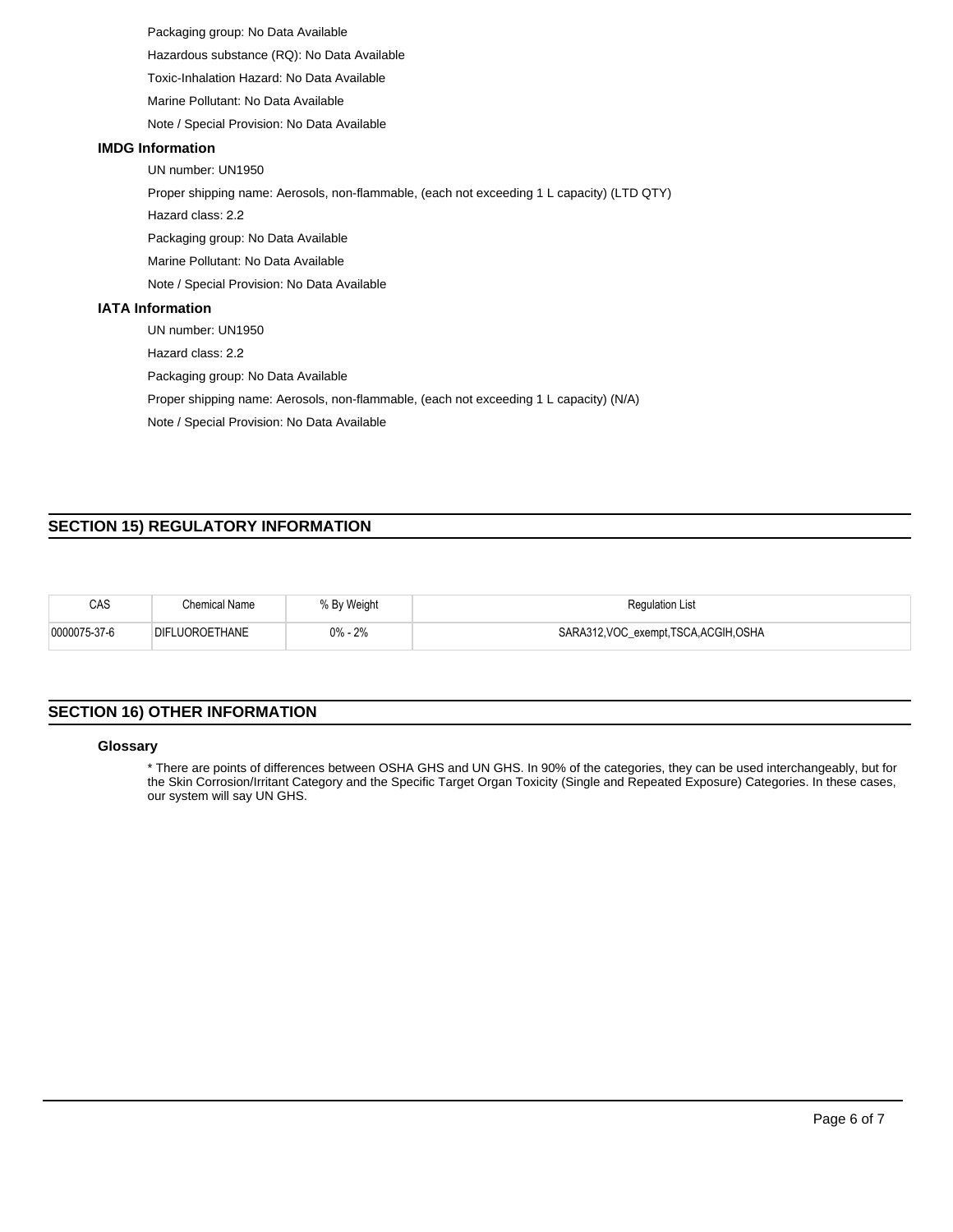Packaging group: No Data Available Hazardous substance (RQ): No Data Available

Toxic-Inhalation Hazard: No Data Available

Marine Pollutant: No Data Available

Note / Special Provision: No Data Available

## **IMDG Information**

UN number: UN1950

Proper shipping name: Aerosols, non-flammable, (each not exceeding 1 L capacity) (LTD QTY)

Hazard class: 2.2

Packaging group: No Data Available

Marine Pollutant: No Data Available

Note / Special Provision: No Data Available

## **IATA Information**

UN number: UN1950

Hazard class: 2.2

Packaging group: No Data Available

Proper shipping name: Aerosols, non-flammable, (each not exceeding 1 L capacity) (N/A)

Note / Special Provision: No Data Available

# **SECTION 15) REGULATORY INFORMATION**

| CAS          | Chemical Name  | % By Weight | <b>Regulation List</b>             |
|--------------|----------------|-------------|------------------------------------|
| 0000075-37-6 | DIFLUOROETHANE | $0\% - 2\%$ | SARA312,VOC_exempt,TSCA,ACGIH,OSHA |

# **SECTION 16) OTHER INFORMATION**

#### **Glossary**

\* There are points of differences between OSHA GHS and UN GHS. In 90% of the categories, they can be used interchangeably, but for the Skin Corrosion/Irritant Category and the Specific Target Organ Toxicity (Single and Repeated Exposure) Categories. In these cases, our system will say UN GHS.